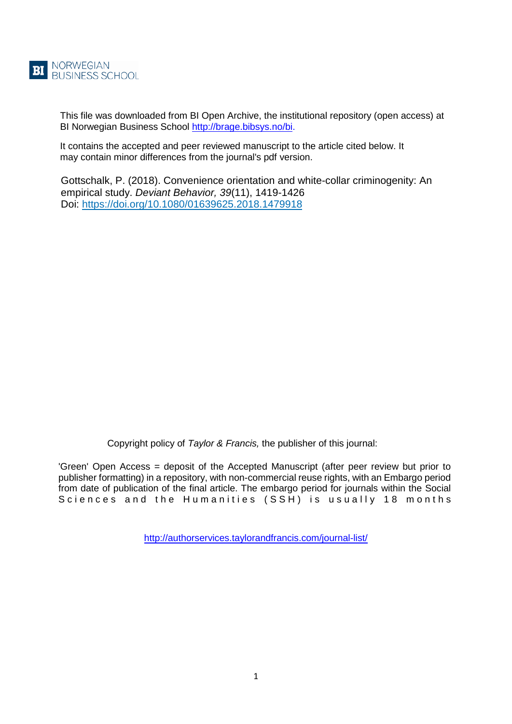

This file was downloaded from BI Open Archive, the institutional repository (open access) at BI Norwegian Business School [http://brage.bibsys.no/bi.](http://brage.bibsys.no/bi)

It contains the accepted and peer reviewed manuscript to the article cited below. It may contain minor differences from the journal's pdf version.

Gottschalk, P. (2018). Convenience orientation and white-collar criminogenity: An empirical study. *Deviant Behavior, 39*(11), 1419-1426 Doi:<https://doi.org/10.1080/01639625.2018.1479918>

Copyright policy of *Taylor & Francis,* the publisher of this journal:

'Green' Open Access = deposit of the Accepted Manuscript (after peer review but prior to publisher formatting) in a repository, with non-commercial reuse rights, with an Embargo period from date of publication of the final article. The embargo period for journals within the Social Sciences and the Humanities (SSH) is usually 18 months

<http://authorservices.taylorandfrancis.com/journal-list/>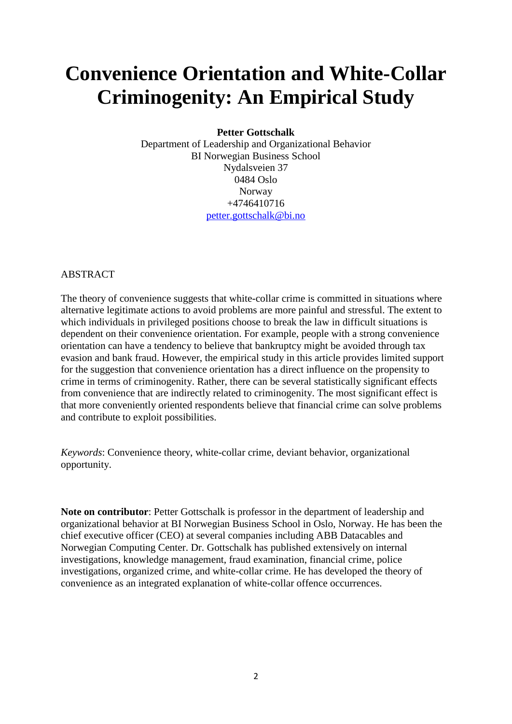# **Convenience Orientation and White-Collar Criminogenity: An Empirical Study**

## **Petter Gottschalk**

Department of Leadership and Organizational Behavior BI Norwegian Business School Nydalsveien 37 0484 Oslo Norway +4746410716 [petter.gottschalk@bi.no](mailto:petter.gottschalk@bi.no)

## ABSTRACT

The theory of convenience suggests that white-collar crime is committed in situations where alternative legitimate actions to avoid problems are more painful and stressful. The extent to which individuals in privileged positions choose to break the law in difficult situations is dependent on their convenience orientation. For example, people with a strong convenience orientation can have a tendency to believe that bankruptcy might be avoided through tax evasion and bank fraud. However, the empirical study in this article provides limited support for the suggestion that convenience orientation has a direct influence on the propensity to crime in terms of criminogenity. Rather, there can be several statistically significant effects from convenience that are indirectly related to criminogenity. The most significant effect is that more conveniently oriented respondents believe that financial crime can solve problems and contribute to exploit possibilities.

*Keywords*: Convenience theory, white-collar crime, deviant behavior, organizational opportunity.

**Note on contributor**: Petter Gottschalk is professor in the department of leadership and organizational behavior at BI Norwegian Business School in Oslo, Norway. He has been the chief executive officer (CEO) at several companies including ABB Datacables and Norwegian Computing Center. Dr. Gottschalk has published extensively on internal investigations, knowledge management, fraud examination, financial crime, police investigations, organized crime, and white-collar crime. He has developed the theory of convenience as an integrated explanation of white-collar offence occurrences.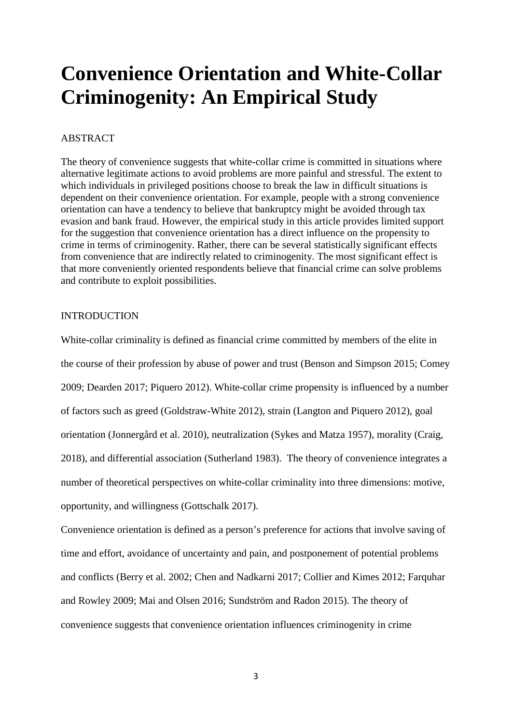# **Convenience Orientation and White-Collar Criminogenity: An Empirical Study**

## ABSTRACT

The theory of convenience suggests that white-collar crime is committed in situations where alternative legitimate actions to avoid problems are more painful and stressful. The extent to which individuals in privileged positions choose to break the law in difficult situations is dependent on their convenience orientation. For example, people with a strong convenience orientation can have a tendency to believe that bankruptcy might be avoided through tax evasion and bank fraud. However, the empirical study in this article provides limited support for the suggestion that convenience orientation has a direct influence on the propensity to crime in terms of criminogenity. Rather, there can be several statistically significant effects from convenience that are indirectly related to criminogenity. The most significant effect is that more conveniently oriented respondents believe that financial crime can solve problems and contribute to exploit possibilities.

## INTRODUCTION

White-collar criminality is defined as financial crime committed by members of the elite in the course of their profession by abuse of power and trust (Benson and Simpson 2015; Comey 2009; Dearden 2017; Piquero 2012). White-collar crime propensity is influenced by a number of factors such as greed (Goldstraw-White 2012), strain (Langton and Piquero 2012), goal orientation (Jonnergård et al. 2010), neutralization (Sykes and Matza 1957), morality (Craig, 2018), and differential association (Sutherland 1983). The theory of convenience integrates a number of theoretical perspectives on white-collar criminality into three dimensions: motive, opportunity, and willingness (Gottschalk 2017).

Convenience orientation is defined as a person's preference for actions that involve saving of time and effort, avoidance of uncertainty and pain, and postponement of potential problems and conflicts (Berry et al. 2002; Chen and Nadkarni 2017; Collier and Kimes 2012; Farquhar and Rowley 2009; Mai and Olsen 2016; Sundström and Radon 2015). The theory of convenience suggests that convenience orientation influences criminogenity in crime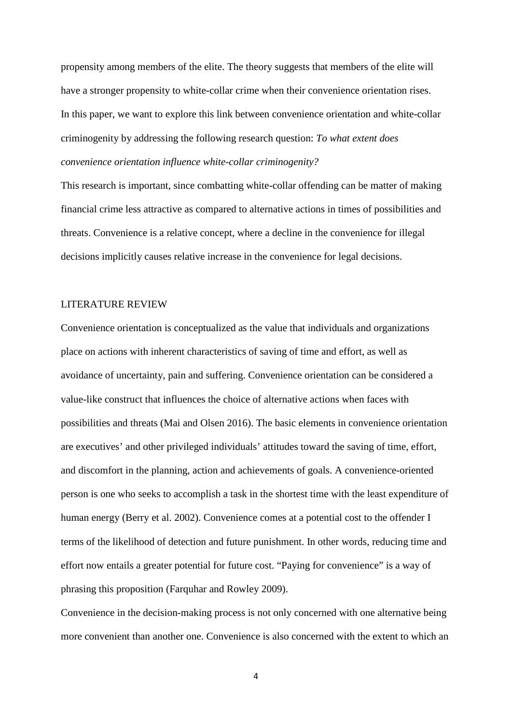propensity among members of the elite. The theory suggests that members of the elite will have a stronger propensity to white-collar crime when their convenience orientation rises. In this paper, we want to explore this link between convenience orientation and white-collar criminogenity by addressing the following research question: *To what extent does convenience orientation influence white-collar criminogenity?*

This research is important, since combatting white-collar offending can be matter of making financial crime less attractive as compared to alternative actions in times of possibilities and threats. Convenience is a relative concept, where a decline in the convenience for illegal decisions implicitly causes relative increase in the convenience for legal decisions.

### LITERATURE REVIEW

Convenience orientation is conceptualized as the value that individuals and organizations place on actions with inherent characteristics of saving of time and effort, as well as avoidance of uncertainty, pain and suffering. Convenience orientation can be considered a value-like construct that influences the choice of alternative actions when faces with possibilities and threats (Mai and Olsen 2016). The basic elements in convenience orientation are executives' and other privileged individuals' attitudes toward the saving of time, effort, and discomfort in the planning, action and achievements of goals. A convenience-oriented person is one who seeks to accomplish a task in the shortest time with the least expenditure of human energy (Berry et al. 2002). Convenience comes at a potential cost to the offender I terms of the likelihood of detection and future punishment. In other words, reducing time and effort now entails a greater potential for future cost. "Paying for convenience" is a way of phrasing this proposition (Farquhar and Rowley 2009).

Convenience in the decision-making process is not only concerned with one alternative being more convenient than another one. Convenience is also concerned with the extent to which an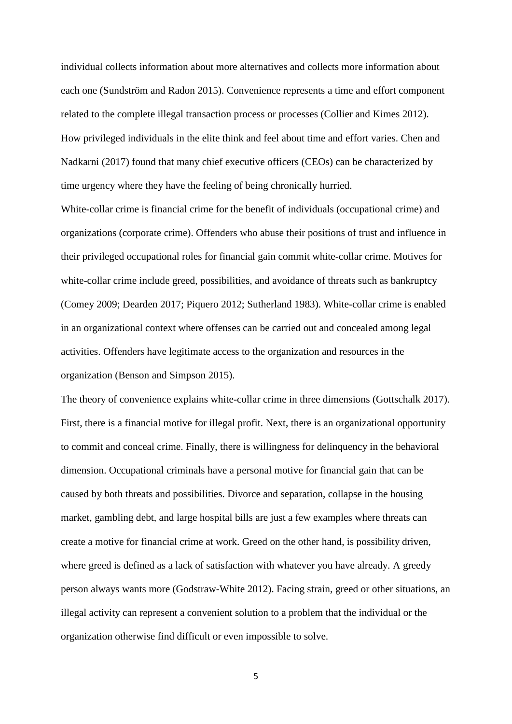individual collects information about more alternatives and collects more information about each one (Sundström and Radon 2015). Convenience represents a time and effort component related to the complete illegal transaction process or processes (Collier and Kimes 2012). How privileged individuals in the elite think and feel about time and effort varies. Chen and Nadkarni (2017) found that many chief executive officers (CEOs) can be characterized by time urgency where they have the feeling of being chronically hurried.

White-collar crime is financial crime for the benefit of individuals (occupational crime) and organizations (corporate crime). Offenders who abuse their positions of trust and influence in their privileged occupational roles for financial gain commit white-collar crime. Motives for white-collar crime include greed, possibilities, and avoidance of threats such as bankruptcy (Comey 2009; Dearden 2017; Piquero 2012; Sutherland 1983). White-collar crime is enabled in an organizational context where offenses can be carried out and concealed among legal activities. Offenders have legitimate access to the organization and resources in the organization (Benson and Simpson 2015).

The theory of convenience explains white-collar crime in three dimensions (Gottschalk 2017). First, there is a financial motive for illegal profit. Next, there is an organizational opportunity to commit and conceal crime. Finally, there is willingness for delinquency in the behavioral dimension. Occupational criminals have a personal motive for financial gain that can be caused by both threats and possibilities. Divorce and separation, collapse in the housing market, gambling debt, and large hospital bills are just a few examples where threats can create a motive for financial crime at work. Greed on the other hand, is possibility driven, where greed is defined as a lack of satisfaction with whatever you have already. A greedy person always wants more (Godstraw-White 2012). Facing strain, greed or other situations, an illegal activity can represent a convenient solution to a problem that the individual or the organization otherwise find difficult or even impossible to solve.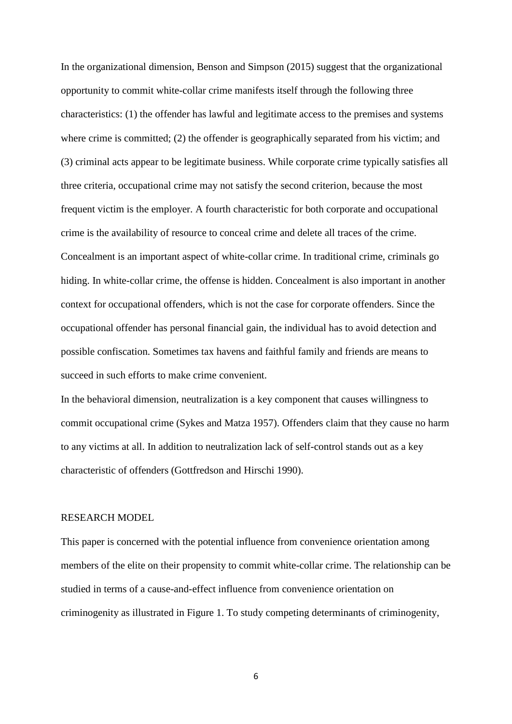In the organizational dimension, Benson and Simpson (2015) suggest that the organizational opportunity to commit white-collar crime manifests itself through the following three characteristics: (1) the offender has lawful and legitimate access to the premises and systems where crime is committed; (2) the offender is geographically separated from his victim; and (3) criminal acts appear to be legitimate business. While corporate crime typically satisfies all three criteria, occupational crime may not satisfy the second criterion, because the most frequent victim is the employer. A fourth characteristic for both corporate and occupational crime is the availability of resource to conceal crime and delete all traces of the crime. Concealment is an important aspect of white-collar crime. In traditional crime, criminals go hiding. In white-collar crime, the offense is hidden. Concealment is also important in another context for occupational offenders, which is not the case for corporate offenders. Since the occupational offender has personal financial gain, the individual has to avoid detection and possible confiscation. Sometimes tax havens and faithful family and friends are means to succeed in such efforts to make crime convenient.

In the behavioral dimension, neutralization is a key component that causes willingness to commit occupational crime (Sykes and Matza 1957). Offenders claim that they cause no harm to any victims at all. In addition to neutralization lack of self-control stands out as a key characteristic of offenders (Gottfredson and Hirschi 1990).

## RESEARCH MODEL

This paper is concerned with the potential influence from convenience orientation among members of the elite on their propensity to commit white-collar crime. The relationship can be studied in terms of a cause-and-effect influence from convenience orientation on criminogenity as illustrated in Figure 1. To study competing determinants of criminogenity,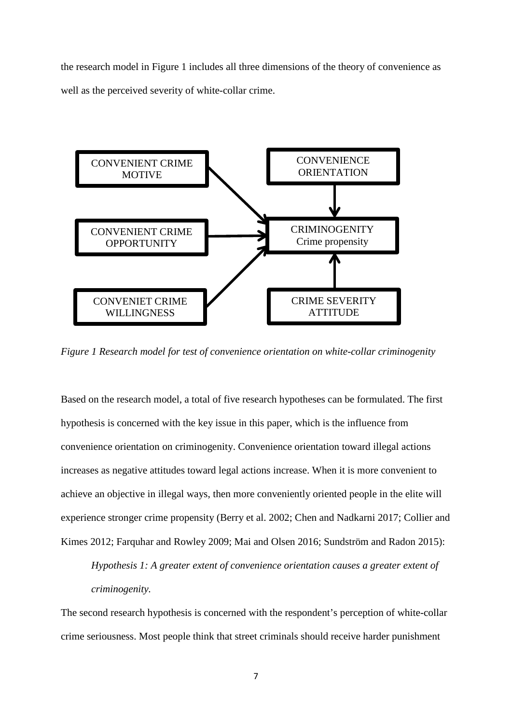the research model in Figure 1 includes all three dimensions of the theory of convenience as well as the perceived severity of white-collar crime.



*Figure 1 Research model for test of convenience orientation on white-collar criminogenity*

Based on the research model, a total of five research hypotheses can be formulated. The first hypothesis is concerned with the key issue in this paper, which is the influence from convenience orientation on criminogenity. Convenience orientation toward illegal actions increases as negative attitudes toward legal actions increase. When it is more convenient to achieve an objective in illegal ways, then more conveniently oriented people in the elite will experience stronger crime propensity (Berry et al. 2002; Chen and Nadkarni 2017; Collier and Kimes 2012; Farquhar and Rowley 2009; Mai and Olsen 2016; Sundström and Radon 2015):

*Hypothesis 1: A greater extent of convenience orientation causes a greater extent of criminogenity.*

The second research hypothesis is concerned with the respondent's perception of white-collar crime seriousness. Most people think that street criminals should receive harder punishment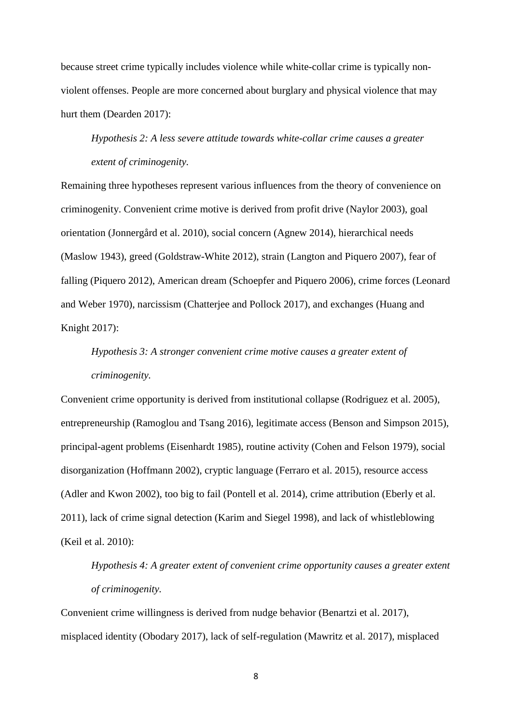because street crime typically includes violence while white-collar crime is typically nonviolent offenses. People are more concerned about burglary and physical violence that may hurt them (Dearden 2017):

*Hypothesis 2: A less severe attitude towards white-collar crime causes a greater extent of criminogenity.*

Remaining three hypotheses represent various influences from the theory of convenience on criminogenity. Convenient crime motive is derived from profit drive (Naylor 2003), goal orientation (Jonnergård et al. 2010), social concern (Agnew 2014), hierarchical needs (Maslow 1943), greed (Goldstraw-White 2012), strain (Langton and Piquero 2007), fear of falling (Piquero 2012), American dream (Schoepfer and Piquero 2006), crime forces (Leonard and Weber 1970), narcissism (Chatterjee and Pollock 2017), and exchanges (Huang and Knight 2017):

*Hypothesis 3: A stronger convenient crime motive causes a greater extent of criminogenity.*

Convenient crime opportunity is derived from institutional collapse (Rodriguez et al. 2005), entrepreneurship (Ramoglou and Tsang 2016), legitimate access (Benson and Simpson 2015), principal-agent problems (Eisenhardt 1985), routine activity (Cohen and Felson 1979), social disorganization (Hoffmann 2002), cryptic language (Ferraro et al. 2015), resource access (Adler and Kwon 2002), too big to fail (Pontell et al. 2014), crime attribution (Eberly et al. 2011), lack of crime signal detection (Karim and Siegel 1998), and lack of whistleblowing (Keil et al. 2010):

*Hypothesis 4: A greater extent of convenient crime opportunity causes a greater extent of criminogenity.*

Convenient crime willingness is derived from nudge behavior (Benartzi et al. 2017), misplaced identity (Obodary 2017), lack of self-regulation (Mawritz et al. 2017), misplaced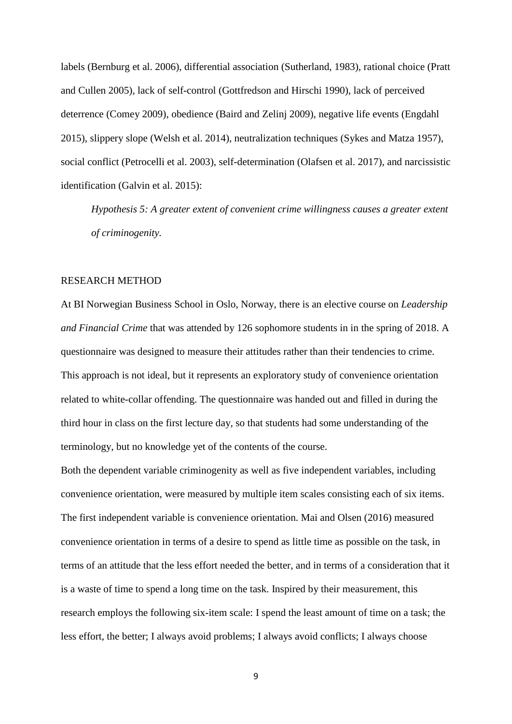labels (Bernburg et al. 2006), differential association (Sutherland, 1983), rational choice (Pratt and Cullen 2005), lack of self-control (Gottfredson and Hirschi 1990), lack of perceived deterrence (Comey 2009), obedience (Baird and Zelinj 2009), negative life events (Engdahl 2015), slippery slope (Welsh et al. 2014), neutralization techniques (Sykes and Matza 1957), social conflict (Petrocelli et al. 2003), self-determination (Olafsen et al. 2017), and narcissistic identification (Galvin et al. 2015):

*Hypothesis 5: A greater extent of convenient crime willingness causes a greater extent of criminogenity.*

### RESEARCH METHOD

At BI Norwegian Business School in Oslo, Norway, there is an elective course on *Leadership and Financial Crime* that was attended by 126 sophomore students in in the spring of 2018. A questionnaire was designed to measure their attitudes rather than their tendencies to crime. This approach is not ideal, but it represents an exploratory study of convenience orientation related to white-collar offending. The questionnaire was handed out and filled in during the third hour in class on the first lecture day, so that students had some understanding of the terminology, but no knowledge yet of the contents of the course.

Both the dependent variable criminogenity as well as five independent variables, including convenience orientation, were measured by multiple item scales consisting each of six items. The first independent variable is convenience orientation. Mai and Olsen (2016) measured convenience orientation in terms of a desire to spend as little time as possible on the task, in terms of an attitude that the less effort needed the better, and in terms of a consideration that it is a waste of time to spend a long time on the task. Inspired by their measurement, this research employs the following six-item scale: I spend the least amount of time on a task; the less effort, the better; I always avoid problems; I always avoid conflicts; I always choose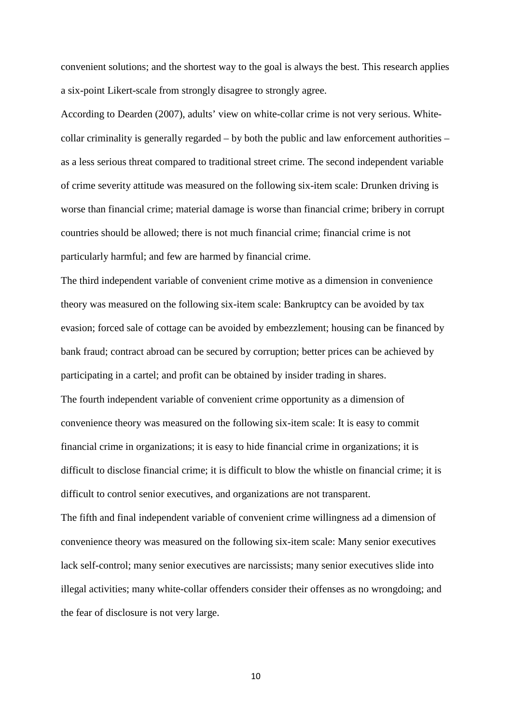convenient solutions; and the shortest way to the goal is always the best. This research applies a six-point Likert-scale from strongly disagree to strongly agree.

According to Dearden (2007), adults' view on white-collar crime is not very serious. Whitecollar criminality is generally regarded – by both the public and law enforcement authorities – as a less serious threat compared to traditional street crime. The second independent variable of crime severity attitude was measured on the following six-item scale: Drunken driving is worse than financial crime; material damage is worse than financial crime; bribery in corrupt countries should be allowed; there is not much financial crime; financial crime is not particularly harmful; and few are harmed by financial crime.

The third independent variable of convenient crime motive as a dimension in convenience theory was measured on the following six-item scale: Bankruptcy can be avoided by tax evasion; forced sale of cottage can be avoided by embezzlement; housing can be financed by bank fraud; contract abroad can be secured by corruption; better prices can be achieved by participating in a cartel; and profit can be obtained by insider trading in shares. The fourth independent variable of convenient crime opportunity as a dimension of convenience theory was measured on the following six-item scale: It is easy to commit financial crime in organizations; it is easy to hide financial crime in organizations; it is difficult to disclose financial crime; it is difficult to blow the whistle on financial crime; it is difficult to control senior executives, and organizations are not transparent. The fifth and final independent variable of convenient crime willingness ad a dimension of convenience theory was measured on the following six-item scale: Many senior executives lack self-control; many senior executives are narcissists; many senior executives slide into illegal activities; many white-collar offenders consider their offenses as no wrongdoing; and

the fear of disclosure is not very large.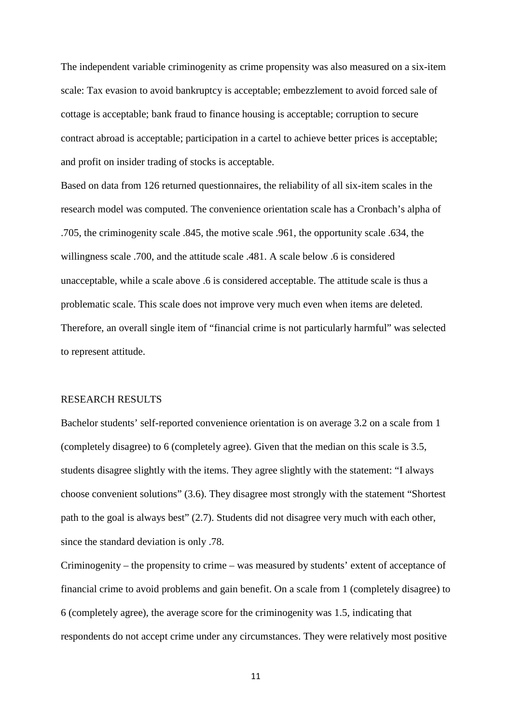The independent variable criminogenity as crime propensity was also measured on a six-item scale: Tax evasion to avoid bankruptcy is acceptable; embezzlement to avoid forced sale of cottage is acceptable; bank fraud to finance housing is acceptable; corruption to secure contract abroad is acceptable; participation in a cartel to achieve better prices is acceptable; and profit on insider trading of stocks is acceptable.

Based on data from 126 returned questionnaires, the reliability of all six-item scales in the research model was computed. The convenience orientation scale has a Cronbach's alpha of .705, the criminogenity scale .845, the motive scale .961, the opportunity scale .634, the willingness scale .700, and the attitude scale .481. A scale below .6 is considered unacceptable, while a scale above .6 is considered acceptable. The attitude scale is thus a problematic scale. This scale does not improve very much even when items are deleted. Therefore, an overall single item of "financial crime is not particularly harmful" was selected to represent attitude.

#### RESEARCH RESULTS

Bachelor students' self-reported convenience orientation is on average 3.2 on a scale from 1 (completely disagree) to 6 (completely agree). Given that the median on this scale is 3.5, students disagree slightly with the items. They agree slightly with the statement: "I always choose convenient solutions" (3.6). They disagree most strongly with the statement "Shortest path to the goal is always best" (2.7). Students did not disagree very much with each other, since the standard deviation is only .78.

Criminogenity – the propensity to crime – was measured by students' extent of acceptance of financial crime to avoid problems and gain benefit. On a scale from 1 (completely disagree) to 6 (completely agree), the average score for the criminogenity was 1.5, indicating that respondents do not accept crime under any circumstances. They were relatively most positive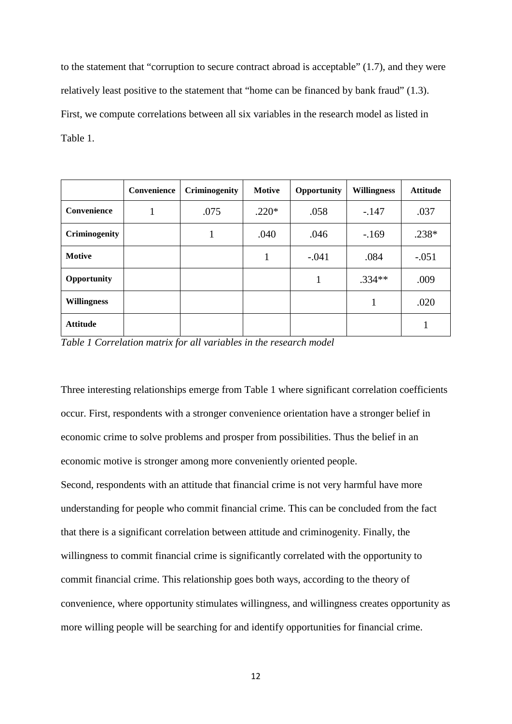to the statement that "corruption to secure contract abroad is acceptable" (1.7), and they were relatively least positive to the statement that "home can be financed by bank fraud" (1.3). First, we compute correlations between all six variables in the research model as listed in Table 1.

|                      | Convenience | Criminogenity | <b>Motive</b> | Opportunity | <b>Willingness</b> | <b>Attitude</b> |
|----------------------|-------------|---------------|---------------|-------------|--------------------|-----------------|
| Convenience          |             | .075          | $.220*$       | .058        | $-.147$            | .037            |
| <b>Criminogenity</b> |             | 1             | .040          | .046        | $-169$             | $.238*$         |
| <b>Motive</b>        |             |               |               | $-.041$     | .084               | $-.051$         |
| Opportunity          |             |               |               |             | $.334**$           | .009            |
| <b>Willingness</b>   |             |               |               |             |                    | .020            |
| <b>Attitude</b>      |             |               |               |             |                    |                 |

*Table 1 Correlation matrix for all variables in the research model*

Three interesting relationships emerge from Table 1 where significant correlation coefficients occur. First, respondents with a stronger convenience orientation have a stronger belief in economic crime to solve problems and prosper from possibilities. Thus the belief in an economic motive is stronger among more conveniently oriented people.

Second, respondents with an attitude that financial crime is not very harmful have more understanding for people who commit financial crime. This can be concluded from the fact that there is a significant correlation between attitude and criminogenity. Finally, the willingness to commit financial crime is significantly correlated with the opportunity to commit financial crime. This relationship goes both ways, according to the theory of convenience, where opportunity stimulates willingness, and willingness creates opportunity as more willing people will be searching for and identify opportunities for financial crime.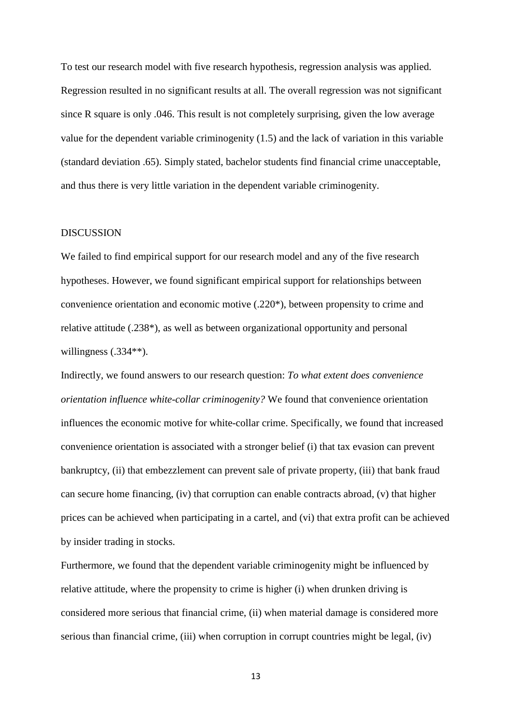To test our research model with five research hypothesis, regression analysis was applied. Regression resulted in no significant results at all. The overall regression was not significant since R square is only .046. This result is not completely surprising, given the low average value for the dependent variable criminogenity (1.5) and the lack of variation in this variable (standard deviation .65). Simply stated, bachelor students find financial crime unacceptable, and thus there is very little variation in the dependent variable criminogenity.

## DISCUSSION

We failed to find empirical support for our research model and any of the five research hypotheses. However, we found significant empirical support for relationships between convenience orientation and economic motive (.220\*), between propensity to crime and relative attitude (.238\*), as well as between organizational opportunity and personal willingness (.334\*\*).

Indirectly, we found answers to our research question: *To what extent does convenience orientation influence white-collar criminogenity?* We found that convenience orientation influences the economic motive for white-collar crime. Specifically, we found that increased convenience orientation is associated with a stronger belief (i) that tax evasion can prevent bankruptcy, (ii) that embezzlement can prevent sale of private property, (iii) that bank fraud can secure home financing, (iv) that corruption can enable contracts abroad, (v) that higher prices can be achieved when participating in a cartel, and (vi) that extra profit can be achieved by insider trading in stocks.

Furthermore, we found that the dependent variable criminogenity might be influenced by relative attitude, where the propensity to crime is higher (i) when drunken driving is considered more serious that financial crime, (ii) when material damage is considered more serious than financial crime, (iii) when corruption in corrupt countries might be legal, (iv)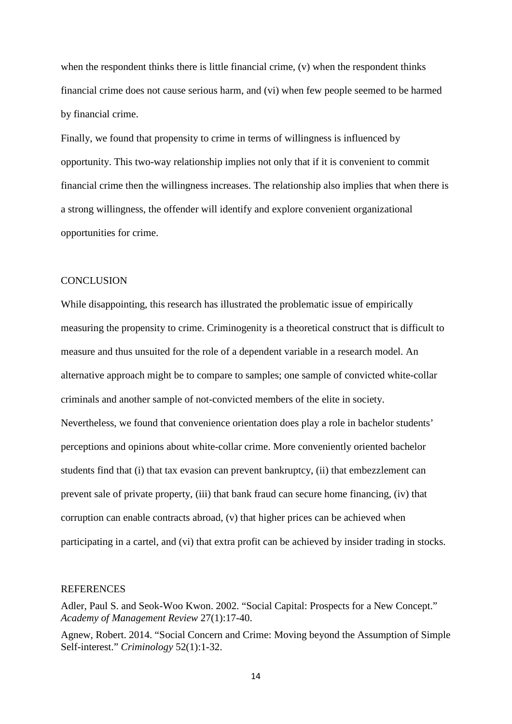when the respondent thinks there is little financial crime, (v) when the respondent thinks financial crime does not cause serious harm, and (vi) when few people seemed to be harmed by financial crime.

Finally, we found that propensity to crime in terms of willingness is influenced by opportunity. This two-way relationship implies not only that if it is convenient to commit financial crime then the willingness increases. The relationship also implies that when there is a strong willingness, the offender will identify and explore convenient organizational opportunities for crime.

### **CONCLUSION**

While disappointing, this research has illustrated the problematic issue of empirically measuring the propensity to crime. Criminogenity is a theoretical construct that is difficult to measure and thus unsuited for the role of a dependent variable in a research model. An alternative approach might be to compare to samples; one sample of convicted white-collar criminals and another sample of not-convicted members of the elite in society. Nevertheless, we found that convenience orientation does play a role in bachelor students' perceptions and opinions about white-collar crime. More conveniently oriented bachelor students find that (i) that tax evasion can prevent bankruptcy, (ii) that embezzlement can prevent sale of private property, (iii) that bank fraud can secure home financing, (iv) that corruption can enable contracts abroad, (v) that higher prices can be achieved when participating in a cartel, and (vi) that extra profit can be achieved by insider trading in stocks.

#### **REFERENCES**

Adler, Paul S. and Seok-Woo Kwon. 2002. "Social Capital: Prospects for a New Concept." *Academy of Management Review* 27(1):17-40.

Agnew, Robert. 2014. "Social Concern and Crime: Moving beyond the Assumption of Simple Self-interest." *Criminology* 52(1):1-32.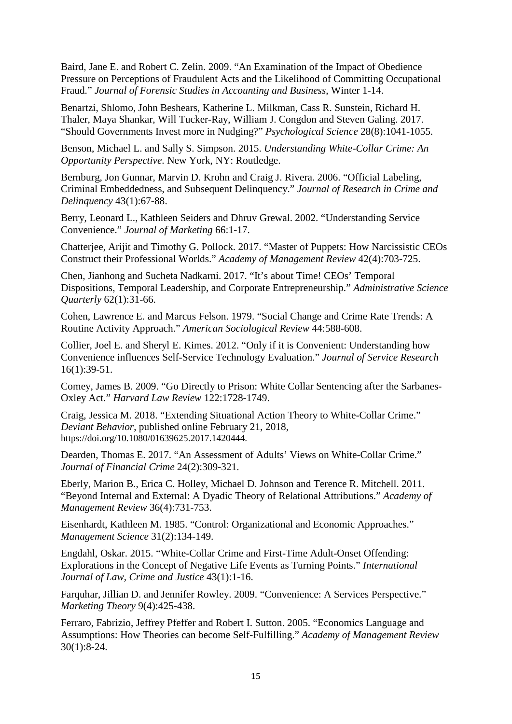Baird, Jane E. and Robert C. Zelin. 2009. "An Examination of the Impact of Obedience Pressure on Perceptions of Fraudulent Acts and the Likelihood of Committing Occupational Fraud." *Journal of Forensic Studies in Accounting and Business*, Winter 1-14.

Benartzi, Shlomo, John Beshears, Katherine L. Milkman, Cass R. Sunstein, Richard H. Thaler, Maya Shankar, Will Tucker-Ray, William J. Congdon and Steven Galing. 2017. "Should Governments Invest more in Nudging?" *Psychological Science* 28(8):1041-1055.

Benson, Michael L. and Sally S. Simpson. 2015. *Understanding White-Collar Crime: An Opportunity Perspective*. New York, NY: Routledge.

Bernburg, Jon Gunnar, Marvin D. Krohn and Craig J. Rivera. 2006. "Official Labeling, Criminal Embeddedness, and Subsequent Delinquency." *Journal of Research in Crime and Delinquency* 43(1):67-88.

Berry, Leonard L., Kathleen Seiders and Dhruv Grewal. 2002. "Understanding Service Convenience." *Journal of Marketing* 66:1-17.

Chatterjee, Arijit and Timothy G. Pollock. 2017. "Master of Puppets: How Narcissistic CEOs Construct their Professional Worlds." *Academy of Management Review* 42(4):703-725.

Chen, Jianhong and Sucheta Nadkarni. 2017. "It's about Time! CEOs' Temporal Dispositions, Temporal Leadership, and Corporate Entrepreneurship." *Administrative Science Quarterly* 62(1):31-66.

Cohen, Lawrence E. and Marcus Felson. 1979. "Social Change and Crime Rate Trends: A Routine Activity Approach." *American Sociological Review* 44:588-608.

Collier, Joel E. and Sheryl E. Kimes. 2012. "Only if it is Convenient: Understanding how Convenience influences Self-Service Technology Evaluation." *Journal of Service Research* 16(1):39-51.

Comey, James B. 2009. "Go Directly to Prison: White Collar Sentencing after the Sarbanes-Oxley Act." *Harvard Law Review* 122:1728-1749.

Craig, Jessica M. 2018. "Extending Situational Action Theory to White-Collar Crime." *Deviant Behavior*, published online February 21, 2018, https://doi.org/10.1080/01639625.2017.1420444.

Dearden, Thomas E. 2017. "An Assessment of Adults' Views on White-Collar Crime." *Journal of Financial Crime* 24(2):309-321.

Eberly, Marion B., Erica C. Holley, Michael D. Johnson and Terence R. Mitchell. 2011. "Beyond Internal and External: A Dyadic Theory of Relational Attributions." *Academy of Management Review* 36(4):731-753.

Eisenhardt, Kathleen M. 1985. "Control: Organizational and Economic Approaches." *Management Science* 31(2):134-149.

Engdahl, Oskar. 2015. "White-Collar Crime and First-Time Adult-Onset Offending: Explorations in the Concept of Negative Life Events as Turning Points." *International Journal of Law, Crime and Justice* 43(1):1-16.

Farquhar, Jillian D. and Jennifer Rowley. 2009. "Convenience: A Services Perspective." *Marketing Theory* 9(4):425-438.

Ferraro, Fabrizio, Jeffrey Pfeffer and Robert I. Sutton. 2005. "Economics Language and Assumptions: How Theories can become Self-Fulfilling." *Academy of Management Review* 30(1):8-24.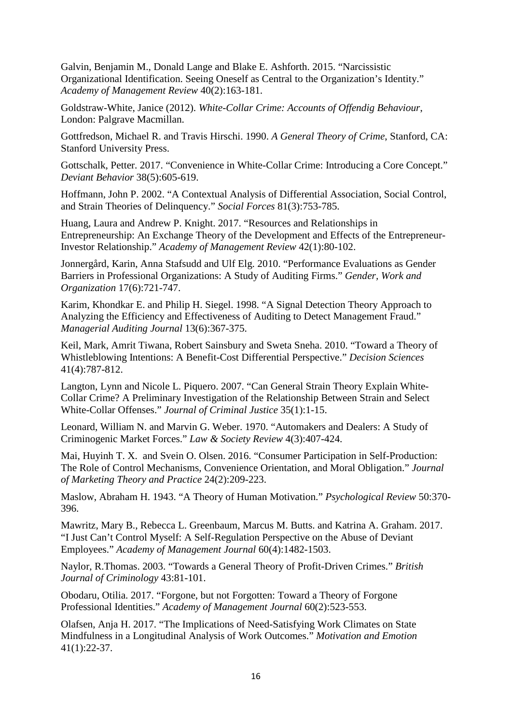Galvin, Benjamin M., Donald Lange and Blake E. Ashforth. 2015. "Narcissistic Organizational Identification. Seeing Oneself as Central to the Organization's Identity." *Academy of Management Review* 40(2):163-181.

Goldstraw-White, Janice (2012). *White-Collar Crime: Accounts of Offendig Behaviour*, London: Palgrave Macmillan.

Gottfredson, Michael R. and Travis Hirschi. 1990. *A General Theory of Crime*, Stanford, CA: Stanford University Press.

Gottschalk, Petter. 2017. "Convenience in White-Collar Crime: Introducing a Core Concept." *Deviant Behavior* 38(5):605-619.

Hoffmann, John P. 2002. "A Contextual Analysis of Differential Association, Social Control, and Strain Theories of Delinquency." *Social Forces* 81(3):753-785.

Huang, Laura and Andrew P. Knight. 2017. "Resources and Relationships in Entrepreneurship: An Exchange Theory of the Development and Effects of the Entrepreneur-Investor Relationship." *Academy of Management Review* 42(1):80-102.

Jonnergård, Karin, Anna Stafsudd and Ulf Elg. 2010. "Performance Evaluations as Gender Barriers in Professional Organizations: A Study of Auditing Firms." *Gender, Work and Organization* 17(6):721-747.

Karim, Khondkar E. and Philip H. Siegel. 1998. "A Signal Detection Theory Approach to Analyzing the Efficiency and Effectiveness of Auditing to Detect Management Fraud." *Managerial Auditing Journal* 13(6):367-375.

Keil, Mark, Amrit Tiwana, Robert Sainsbury and Sweta Sneha. 2010. "Toward a Theory of Whistleblowing Intentions: A Benefit-Cost Differential Perspective." *Decision Sciences* 41(4):787-812.

Langton, Lynn and Nicole L. Piquero. 2007. "Can General Strain Theory Explain White-Collar Crime? A Preliminary Investigation of the Relationship Between Strain and Select White-Collar Offenses." *Journal of Criminal Justice* 35(1):1-15.

Leonard, William N. and Marvin G. Weber. 1970. "Automakers and Dealers: A Study of Criminogenic Market Forces." *Law & Society Review* 4(3):407-424.

Mai, Huyinh T. X. and Svein O. Olsen. 2016. "Consumer Participation in Self-Production: The Role of Control Mechanisms, Convenience Orientation, and Moral Obligation." *Journal of Marketing Theory and Practice* 24(2):209-223.

Maslow, Abraham H. 1943. "A Theory of Human Motivation." *Psychological Review* 50:370- 396.

Mawritz, Mary B., Rebecca L. Greenbaum, Marcus M. Butts. and Katrina A. Graham. 2017. "I Just Can't Control Myself: A Self-Regulation Perspective on the Abuse of Deviant Employees." *Academy of Management Journal* 60(4):1482-1503.

Naylor, R.Thomas. 2003. "Towards a General Theory of Profit-Driven Crimes." *British Journal of Criminology* 43:81-101.

Obodaru, Otilia. 2017. "Forgone, but not Forgotten: Toward a Theory of Forgone Professional Identities." *Academy of Management Journal* 60(2):523-553.

Olafsen, Anja H. 2017. "The Implications of Need-Satisfying Work Climates on State Mindfulness in a Longitudinal Analysis of Work Outcomes." *Motivation and Emotion* 41(1):22-37.